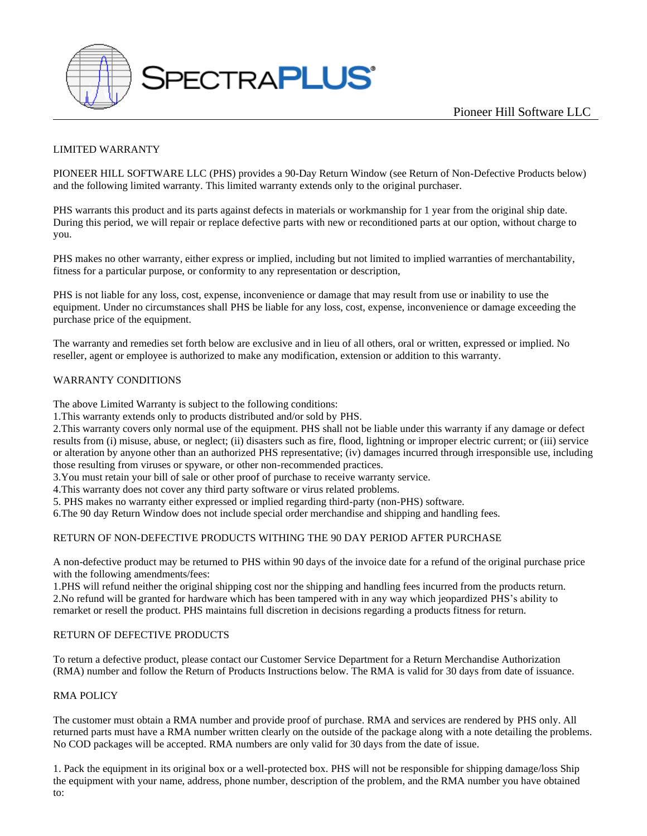

# LIMITED WARRANTY

PIONEER HILL SOFTWARE LLC (PHS) provides a 90-Day Return Window (see Return of Non-Defective Products below) and the following limited warranty. This limited warranty extends only to the original purchaser.

PHS warrants this product and its parts against defects in materials or workmanship for 1 year from the original ship date. During this period, we will repair or replace defective parts with new or reconditioned parts at our option, without charge to you.

PHS makes no other warranty, either express or implied, including but not limited to implied warranties of merchantability, fitness for a particular purpose, or conformity to any representation or description,

PHS is not liable for any loss, cost, expense, inconvenience or damage that may result from use or inability to use the equipment. Under no circumstances shall PHS be liable for any loss, cost, expense, inconvenience or damage exceeding the purchase price of the equipment.

The warranty and remedies set forth below are exclusive and in lieu of all others, oral or written, expressed or implied. No reseller, agent or employee is authorized to make any modification, extension or addition to this warranty.

# WARRANTY CONDITIONS

The above Limited Warranty is subject to the following conditions:

1.This warranty extends only to products distributed and/or sold by PHS.

2.This warranty covers only normal use of the equipment. PHS shall not be liable under this warranty if any damage or defect results from (i) misuse, abuse, or neglect; (ii) disasters such as fire, flood, lightning or improper electric current; or (iii) service or alteration by anyone other than an authorized PHS representative; (iv) damages incurred through irresponsible use, including those resulting from viruses or spyware, or other non-recommended practices.

3.You must retain your bill of sale or other proof of purchase to receive warranty service.

4.This warranty does not cover any third party software or virus related problems.

5. PHS makes no warranty either expressed or implied regarding third-party (non-PHS) software.

6.The 90 day Return Window does not include special order merchandise and shipping and handling fees.

# RETURN OF NON-DEFECTIVE PRODUCTS WITHING THE 90 DAY PERIOD AFTER PURCHASE

A non-defective product may be returned to PHS within 90 days of the invoice date for a refund of the original purchase price with the following amendments/fees:

1.PHS will refund neither the original shipping cost nor the shipping and handling fees incurred from the products return. 2.No refund will be granted for hardware which has been tampered with in any way which jeopardized PHS's ability to remarket or resell the product. PHS maintains full discretion in decisions regarding a products fitness for return.

# RETURN OF DEFECTIVE PRODUCTS

To return a defective product, please contact our Customer Service Department for a Return Merchandise Authorization (RMA) number and follow the Return of Products Instructions below. The RMA is valid for 30 days from date of issuance.

# RMA POLICY

The customer must obtain a RMA number and provide proof of purchase. RMA and services are rendered by PHS only. All returned parts must have a RMA number written clearly on the outside of the package along with a note detailing the problems. No COD packages will be accepted. RMA numbers are only valid for 30 days from the date of issue.

1. Pack the equipment in its original box or a well-protected box. PHS will not be responsible for shipping damage/loss Ship the equipment with your name, address, phone number, description of the problem, and the RMA number you have obtained to: